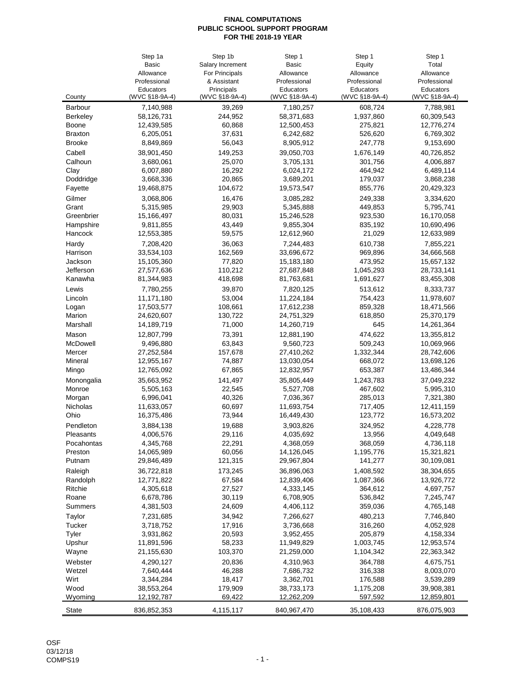|                  | Step 1a        | Step 1b            | Step 1         | Step 1             | Step 1         |
|------------------|----------------|--------------------|----------------|--------------------|----------------|
|                  | Basic          | Salary Increment   | Basic          | Equity             | Total          |
|                  | Allowance      | For Principals     | Allowance      | Allowance          | Allowance      |
|                  | Professional   | & Assistant        | Professional   | Professional       | Professional   |
|                  | Educators      | Principals         | Educators      | Educators          | Educators      |
| County           | (WVC §18-9A-4) | (WVC §18-9A-4)     | (WVC §18-9A-4) | (WVC §18-9A-4)     | (WVC §18-9A-4) |
| Barbour          | 7,140,988      | 39,269             | 7,180,257      | 608,724            | 7,788,981      |
| <b>Berkeley</b>  | 58,126,731     | 244,952            | 58,371,683     | 1,937,860          | 60,309,543     |
| <b>Boone</b>     | 12,439,585     | 60,868             | 12,500,453     | 275,821            | 12,776,274     |
| <b>Braxton</b>   | 6,205,051      | 37,631             | 6,242,682      | 526,620            | 6,769,302      |
| <b>Brooke</b>    | 8,849,869      | 56,043             | 8,905,912      | 247,778            | 9,153,690      |
| Cabell           | 38,901,450     | 149,253            | 39,050,703     | 1,676,149          | 40,726,852     |
| Calhoun          | 3,680,061      | 25,070             | 3,705,131      | 301,756            | 4,006,887      |
| Clay             | 6,007,880      | 16,292             | 6,024,172      | 464,942            | 6,489,114      |
| Doddridge        | 3,668,336      | 20,865             | 3,689,201      | 179,037            | 3,868,238      |
| Fayette          | 19,468,875     | 104,672            | 19,573,547     | 855,776            | 20,429,323     |
| Gilmer           | 3,068,806      | 16,476             | 3,085,282      | 249,338            | 3,334,620      |
| Grant            | 5,315,985      | 29,903             | 5,345,888      | 449,853            | 5,795,741      |
| Greenbrier       | 15,166,497     | 80,031             | 15,246,528     | 923,530            | 16,170,058     |
| Hampshire        | 9,811,855      | 43,449             | 9,855,304      | 835,192            | 10,690,496     |
| Hancock          | 12,553,385     | 59,575             | 12,612,960     | 21,029             | 12,633,989     |
| Hardy            | 7,208,420      | 36,063             | 7,244,483      | 610,738            | 7,855,221      |
| Harrison         | 33,534,103     | 162,569            | 33,696,672     | 969,896            | 34,666,568     |
| Jackson          | 15,105,360     | 77,820             | 15,183,180     | 473,952            | 15,657,132     |
| Jefferson        | 27,577,636     | 110,212            | 27,687,848     | 1,045,293          | 28,733,141     |
| Kanawha          | 81,344,983     | 418,698            | 81,763,681     | 1,691,627          | 83,455,308     |
| Lewis            |                | 39,870             | 7,820,125      | 513,612            | 8,333,737      |
|                  | 7,780,255      | 53,004             |                |                    |                |
| Lincoln          | 11,171,180     |                    | 11,224,184     | 754,423            | 11,978,607     |
| Logan<br>Marion  | 17,503,577     | 108,661<br>130,722 | 17,612,238     | 859,328<br>618,850 | 18,471,566     |
|                  | 24,620,607     |                    | 24,751,329     | 645                | 25,370,179     |
| Marshall         | 14,189,719     | 71,000             | 14,260,719     |                    | 14,261,364     |
| Mason            | 12,807,799     | 73,391             | 12,881,190     | 474,622            | 13,355,812     |
| McDowell         | 9,496,880      | 63,843             | 9,560,723      | 509,243            | 10,069,966     |
| Mercer           | 27,252,584     | 157,678            | 27,410,262     | 1,332,344          | 28,742,606     |
| Mineral          | 12,955,167     | 74,887             | 13,030,054     | 668,072            | 13,698,126     |
| Mingo            | 12,765,092     | 67,865             | 12,832,957     | 653,387            | 13,486,344     |
| Monongalia       | 35,663,952     | 141,497            | 35,805,449     | 1,243,783          | 37,049,232     |
| Monroe           | 5,505,163      | 22,545             | 5,527,708      | 467,602            | 5,995,310      |
| Morgan           | 6,996,041      | 40,326             | 7,036,367      | 285,013            | 7,321,380      |
| Nicholas         | 11,633,057     | 60,697             | 11,693,754     | 717,405            | 12,411,159     |
| Ohio             | 16,375,486     | 73,944             | 16,449,430     | 123,772            | 16,573,202     |
| Pendleton        | 3,884,138      | 19,688             | 3,903,826      | 324,952            | 4,228,778      |
| <b>Pleasants</b> | 4,006,576      | 29,116             | 4,035,692      | 13,956             | 4,049,648      |
| Pocahontas       | 4,345,768      | 22,291             | 4,368,059      | 368,059            | 4,736,118      |
| Preston          | 14,065,989     | 60,056             | 14,126,045     | 1,195,776          | 15,321,821     |
| Putnam           | 29,846,489     | 121,315            | 29,967,804     | 141,277            | 30,109,081     |
| Raleigh          | 36,722,818     | 173,245            | 36,896,063     | 1,408,592          | 38,304,655     |
| Randolph         | 12,771,822     | 67,584             | 12,839,406     | 1,087,366          | 13,926,772     |
| Ritchie          | 4,305,618      | 27,527             | 4,333,145      | 364,612            | 4,697,757      |
| Roane            | 6,678,786      | 30,119             | 6,708,905      | 536,842            | 7,245,747      |
| Summers          | 4,381,503      | 24,609             | 4,406,112      | 359,036            | 4,765,148      |
| Taylor           | 7,231,685      | 34,942             | 7,266,627      | 480,213            | 7,746,840      |
| Tucker           | 3,718,752      | 17,916             | 3,736,668      | 316,260            | 4,052,928      |
| Tyler            | 3,931,862      | 20,593             | 3,952,455      | 205,879            | 4,158,334      |
| Upshur           | 11,891,596     | 58,233             | 11,949,829     | 1,003,745          | 12,953,574     |
| Wayne            | 21,155,630     | 103,370            | 21,259,000     | 1,104,342          | 22,363,342     |
| Webster          | 4,290,127      | 20,836             | 4,310,963      | 364,788            | 4,675,751      |
| Wetzel           | 7,640,444      | 46,288             | 7,686,732      | 316,338            | 8,003,070      |
| Wirt             | 3,344,284      | 18,417             | 3,362,701      | 176,588            | 3,539,289      |
| Wood             | 38,553,264     | 179,909            | 38,733,173     | 1,175,208          | 39,908,381     |
| Wyoming          | 12,192,787     | 69,422             | 12,262,209     | 597,592            | 12,859,801     |
|                  |                |                    |                |                    |                |
| <b>State</b>     | 836,852,353    | 4,115,117          | 840,967,470    | 35,108,433         | 876,075,903    |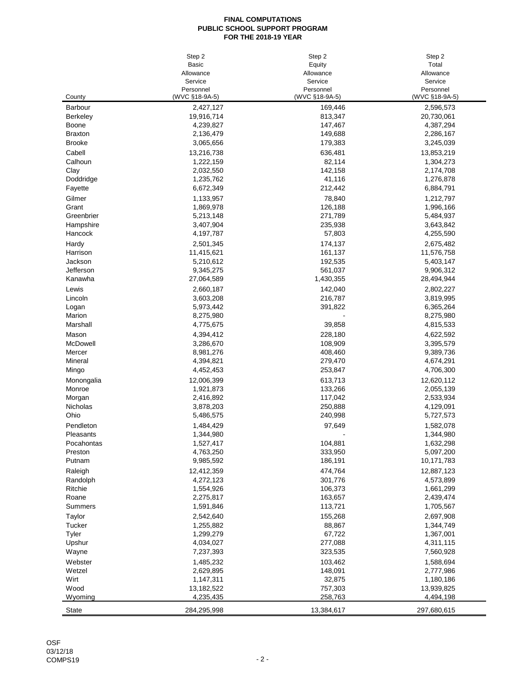|                 | Step 2         | Step 2         | Step 2         |
|-----------------|----------------|----------------|----------------|
|                 | <b>Basic</b>   | Equity         | Total          |
|                 | Allowance      | Allowance      | Allowance      |
|                 | Service        | Service        | Service        |
|                 | Personnel      | Personnel      | Personnel      |
| County          | (WVC §18-9A-5) | (WVC §18-9A-5) | (WVC §18-9A-5) |
| Barbour         | 2,427,127      | 169,446        | 2,596,573      |
| <b>Berkeley</b> | 19,916,714     | 813,347        | 20,730,061     |
| Boone           | 4,239,827      | 147,467        | 4,387,294      |
| <b>Braxton</b>  | 2,136,479      | 149,688        | 2,286,167      |
| <b>Brooke</b>   | 3,065,656      | 179,383        | 3,245,039      |
| Cabell          | 13,216,738     | 636,481        | 13,853,219     |
| Calhoun         | 1,222,159      | 82,114         | 1,304,273      |
| Clay            | 2,032,550      | 142,158        | 2,174,708      |
| Doddridge       | 1,235,762      | 41,116         | 1,276,878      |
| Fayette         | 6,672,349      | 212,442        | 6,884,791      |
| Gilmer          | 1,133,957      | 78,840         | 1,212,797      |
| Grant           | 1,869,978      | 126,188        | 1,996,166      |
| Greenbrier      | 5,213,148      | 271,789        | 5,484,937      |
| Hampshire       | 3,407,904      | 235,938        | 3,643,842      |
| Hancock         | 4,197,787      | 57,803         | 4,255,590      |
| Hardy           | 2,501,345      | 174,137        | 2,675,482      |
| Harrison        | 11,415,621     | 161,137        | 11,576,758     |
| Jackson         | 5,210,612      | 192,535        | 5,403,147      |
| Jefferson       | 9,345,275      | 561,037        | 9,906,312      |
| Kanawha         | 27,064,589     | 1,430,355      | 28,494,944     |
| Lewis           | 2,660,187      | 142,040        | 2,802,227      |
| Lincoln         | 3,603,208      | 216,787        | 3,819,995      |
| Logan           | 5,973,442      | 391,822        | 6,365,264      |
| Marion          | 8,275,980      |                | 8,275,980      |
| Marshall        | 4,775,675      | 39,858         | 4,815,533      |
| Mason           | 4,394,412      | 228,180        | 4,622,592      |
|                 |                |                |                |
| McDowell        | 3,286,670      | 108,909        | 3,395,579      |
| Mercer          | 8,981,276      | 408,460        | 9,389,736      |
| Mineral         | 4,394,821      | 279,470        | 4,674,291      |
| Mingo           | 4,452,453      | 253,847        | 4,706,300      |
| Monongalia      | 12,006,399     | 613,713        | 12,620,112     |
| Monroe          | 1,921,873      | 133,266        | 2,055,139      |
| Morgan          | 2,416,892      | 117,042        | 2,533,934      |
| Nicholas        | 3,878,203      | 250,888        | 4,129,091      |
| Ohio            | 5,486,575      | 240,998        | 5,727,573      |
| Pendleton       | 1,484,429      | 97,649         | 1,582,078      |
| Pleasants       | 1,344,980      |                | 1.344.980      |
| Pocahontas      | 1,527,417      | 104,881        | 1,632,298      |
| Preston         | 4,763,250      | 333,950        | 5,097,200      |
| Putnam          | 9,985,592      | 186,191        | 10,171,783     |
| Raleigh         | 12,412,359     | 474,764        | 12,887,123     |
| Randolph        | 4,272,123      | 301,776        | 4,573,899      |
| Ritchie         | 1,554,926      | 106,373        | 1,661,299      |
| Roane           | 2,275,817      | 163,657        | 2,439,474      |
| Summers         | 1,591,846      | 113,721        | 1,705,567      |
| Taylor          | 2,542,640      | 155,268        | 2,697,908      |
| Tucker          | 1,255,882      | 88,867         | 1,344,749      |
| Tyler           | 1,299,279      | 67,722         | 1,367,001      |
| Upshur          | 4,034,027      | 277,088        | 4,311,115      |
| Wayne           | 7,237,393      | 323,535        | 7,560,928      |
| Webster         | 1,485,232      | 103,462        | 1,588,694      |
| Wetzel          | 2,629,895      | 148,091        | 2,777,986      |
| Wirt            | 1,147,311      | 32,875         | 1,180,186      |
| Wood            | 13,182,522     | 757,303        | 13,939,825     |
| Wyoming         | 4,235,435      | 258,763        | 4,494,198      |
|                 |                |                |                |
| <b>State</b>    | 284,295,998    | 13,384,617     | 297,680,615    |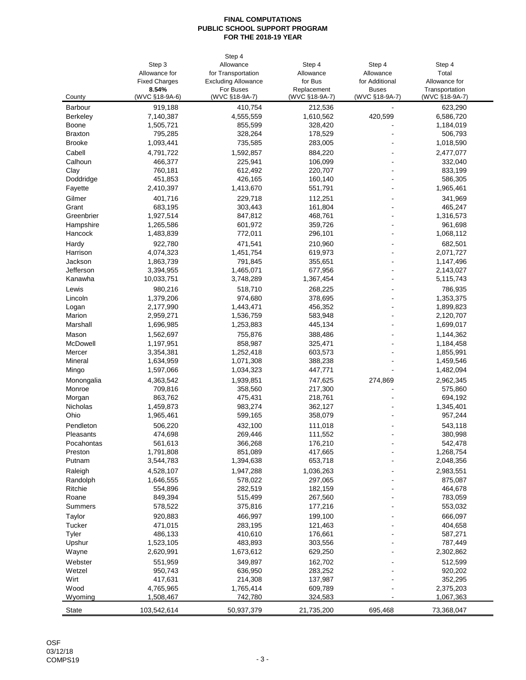|                 |                      | Step 4                     |                |                |                |
|-----------------|----------------------|----------------------------|----------------|----------------|----------------|
|                 | Step 3               | Allowance                  | Step 4         | Step 4         | Step 4         |
|                 | Allowance for        | for Transportation         | Allowance      | Allowance      | Total          |
|                 | <b>Fixed Charges</b> | <b>Excluding Allowance</b> | for Bus        | for Additional | Allowance for  |
|                 | 8.54%                | For Buses                  | Replacement    | <b>Buses</b>   | Transportation |
| County          | (WVC §18-9A-6)       | (WVC §18-9A-7)             | (WVC §18-9A-7) | (WVC §18-9A-7) | (WVC §18-9A-7) |
| <b>Barbour</b>  | 919,188              | 410,754                    | 212,536        |                | 623,290        |
| <b>Berkeley</b> | 7,140,387            | 4,555,559                  | 1,610,562      | 420,599        | 6,586,720      |
| Boone           | 1,505,721            | 855,599                    | 328,420        |                | 1,184,019      |
| <b>Braxton</b>  | 795,285              | 328,264                    | 178,529        |                | 506,793        |
| <b>Brooke</b>   | 1,093,441            | 735,585                    | 283,005        |                | 1,018,590      |
| Cabell          | 4,791,722            | 1,592,857                  | 884,220        |                | 2,477,077      |
| Calhoun         | 466,377              | 225,941                    | 106,099        |                | 332,040        |
| Clay            | 760,181              | 612,492                    | 220,707        |                | 833,199        |
| Doddridge       | 451,853              | 426,165                    | 160,140        |                | 586,305        |
| Fayette         | 2,410,397            | 1,413,670                  | 551,791        |                | 1,965,461      |
| Gilmer          | 401,716              | 229,718                    | 112,251        |                | 341,969        |
| Grant           | 683,195              | 303,443                    | 161,804        |                | 465,247        |
| Greenbrier      | 1,927,514            | 847,812                    | 468,761        |                | 1,316,573      |
| Hampshire       | 1,265,586            | 601,972                    | 359,726        |                | 961,698        |
| Hancock         | 1,483,839            | 772,011                    | 296,101        |                | 1,068,112      |
| Hardy           | 922,780              | 471,541                    | 210,960        |                | 682,501        |
| Harrison        | 4,074,323            | 1,451,754                  | 619,973        |                | 2,071,727      |
| Jackson         | 1,863,739            | 791,845                    | 355,651        |                | 1,147,496      |
| Jefferson       | 3,394,955            | 1,465,071                  | 677,956        |                | 2,143,027      |
| Kanawha         | 10,033,751           | 3,748,289                  | 1,367,454      |                | 5,115,743      |
| Lewis           | 980,216              | 518,710                    | 268,225        |                | 786,935        |
| Lincoln         | 1,379,206            | 974,680                    | 378,695        |                | 1,353,375      |
| Logan           | 2,177,990            | 1,443,471                  | 456,352        |                | 1,899,823      |
| Marion          | 2,959,271            | 1,536,759                  | 583,948        |                | 2,120,707      |
| Marshall        | 1,696,985            | 1,253,883                  | 445,134        |                | 1,699,017      |
| Mason           | 1,562,697            | 755,876                    | 388,486        |                | 1,144,362      |
| McDowell        | 1,197,951            | 858,987                    | 325,471        |                | 1,184,458      |
| Mercer          | 3,354,381            | 1,252,418                  | 603,573        |                | 1,855,991      |
| Mineral         | 1,634,959            | 1,071,308                  | 388,238        |                | 1,459,546      |
| Mingo           | 1,597,066            | 1,034,323                  | 447,771        | ÷.             | 1,482,094      |
| Monongalia      | 4,363,542            | 1,939,851                  | 747,625        | 274,869        | 2,962,345      |
| Monroe          | 709,816              | 358,560                    | 217,300        |                | 575,860        |
| Morgan          | 863,762              | 475,431                    | 218,761        |                | 694,192        |
| Nicholas        | 1,459,873            | 983,274                    | 362,127        |                | 1,345,401      |
| Ohio            | 1,965,461            | 599,165                    | 358,079        |                | 957,244        |
| Pendleton       | 506,220              | 432,100                    | 111,018        |                | 543,118        |
| Pleasants       | 474,698              | 269,446                    | 111,552        |                | 380,998        |
| Pocahontas      | 561,613              | 366,268                    | 176,210        |                | 542,478        |
| Preston         | 1,791,808            | 851,089                    | 417,665        |                | 1,268,754      |
| Putnam          | 3,544,783            | 1,394,638                  | 653,718        |                | 2,048,356      |
| Raleigh         | 4,528,107            | 1,947,288                  | 1,036,263      |                | 2,983,551      |
| Randolph        | 1,646,555            | 578,022                    | 297,065        |                | 875,087        |
| Ritchie         | 554,896              | 282,519                    | 182,159        |                | 464,678        |
| Roane           | 849,394              | 515,499                    | 267,560        |                | 783,059        |
| <b>Summers</b>  | 578,522              | 375,816                    | 177,216        |                | 553,032        |
| Taylor          | 920,883              | 466,997                    | 199,100        |                | 666,097        |
| Tucker          | 471,015              | 283,195                    | 121,463        |                | 404,658        |
| Tyler           | 486,133              | 410,610                    | 176,661        |                | 587,271        |
| Upshur          | 1,523,105            | 483,893                    | 303,556        |                | 787,449        |
| Wayne           | 2,620,991            | 1,673,612                  | 629,250        |                | 2,302,862      |
| Webster         | 551,959              | 349,897                    | 162,702        |                | 512,599        |
| Wetzel          | 950,743              | 636,950                    | 283,252        |                | 920,202        |
| Wirt            | 417,631              | 214,308                    | 137,987        |                | 352,295        |
| Wood            | 4,765,965            | 1,765,414                  | 609,789        |                | 2,375,203      |
| Wyoming         | 1,508,467            | 742,780                    | 324,583        |                | 1,067,363      |
|                 |                      |                            |                |                |                |
| <b>State</b>    | 103,542,614          | 50,937,379                 | 21,735,200     | 695,468        | 73,368,047     |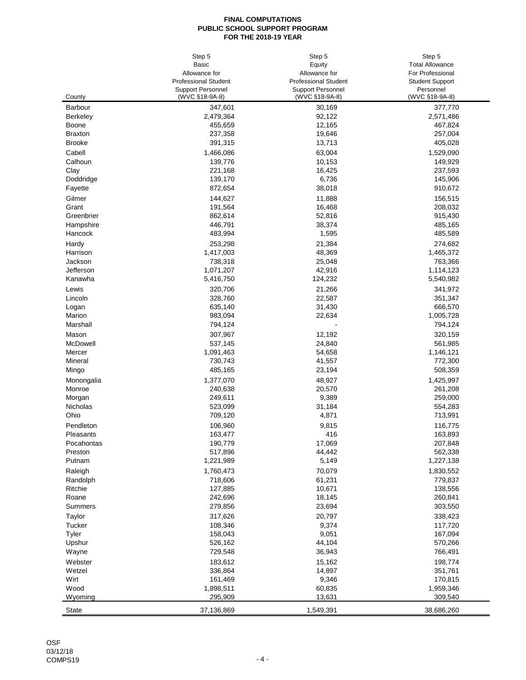|                 | Step 5                      | Step 5                      | Step 5                 |
|-----------------|-----------------------------|-----------------------------|------------------------|
|                 | Basic                       | Equity                      | <b>Total Allowance</b> |
|                 | Allowance for               | Allowance for               | For Professional       |
|                 | <b>Professional Student</b> | <b>Professional Student</b> | <b>Student Support</b> |
|                 | <b>Support Personnel</b>    | <b>Support Personnel</b>    | Personnel              |
| County          | (WVC §18-9A-8)              | (WVC §18-9A-8)              | (WVC §18-9A-8)         |
| <b>Barbour</b>  | 347,601                     | 30,169                      | 377,770                |
| <b>Berkeley</b> | 2,479,364                   | 92,122                      | 2,571,486              |
| Boone           | 455,659                     | 12,165                      | 467,824                |
| <b>Braxton</b>  | 237,358                     | 19,646                      | 257,004                |
| <b>Brooke</b>   | 391,315                     | 13,713                      | 405,028                |
| Cabell          | 1,466,086                   | 63,004                      | 1,529,090              |
| Calhoun         | 139,776                     | 10,153                      | 149,929                |
| Clay            | 221,168                     | 16,425                      | 237,593                |
| Doddridge       | 139,170                     | 6,736                       | 145,906                |
| Fayette         | 872,654                     | 38,018                      | 910,672                |
| Gilmer          | 144,627                     | 11,888                      | 156,515                |
| Grant           | 191,564                     | 16,468                      | 208,032                |
| Greenbrier      | 862,614                     | 52,816                      | 915,430                |
| Hampshire       | 446,791                     | 38,374                      | 485,165                |
| Hancock         | 483,994                     | 1,595                       | 485,589                |
| Hardy           | 253,298                     | 21,384                      | 274,682                |
| Harrison        | 1,417,003                   | 48,369                      | 1,465,372              |
| Jackson         | 738,318                     | 25,048                      | 763,366                |
| Jefferson       | 1,071,207                   | 42,916                      | 1,114,123              |
| Kanawha         | 5,416,750                   | 124,232                     | 5,540,982              |
| Lewis           | 320,706                     | 21,266                      | 341,972                |
| Lincoln         | 328,760                     | 22,587                      | 351,347                |
| Logan           | 635,140                     | 31,430                      | 666,570                |
| Marion          | 983,094                     | 22,634                      | 1,005,728              |
| Marshall        | 794,124                     |                             | 794,124                |
| Mason           | 307,967                     | 12,192                      | 320,159                |
| McDowell        | 537,145                     | 24,840                      | 561,985                |
| Mercer          | 1,091,463                   | 54,658                      | 1,146,121              |
| Mineral         | 730,743                     | 41,557                      | 772,300                |
| Mingo           | 485,165                     | 23,194                      | 508,359                |
| Monongalia      | 1,377,070                   | 48,927                      | 1,425,997              |
| Monroe          | 240,638                     | 20,570                      | 261,208                |
| Morgan          | 249,611                     | 9,389                       | 259,000                |
| Nicholas        | 523,099                     | 31,184                      | 554,283                |
| Ohio            | 709,120                     | 4,871                       | 713,991                |
| Pendleton       | 106,960                     | 9,815                       | 116,775                |
| Pleasants       | 163,477                     | 416                         | 163,893                |
| Pocahontas      | 190,779                     | 17,069                      | 207,848                |
| Preston         | 517,896                     | 44,442                      | 562,338                |
| Putnam          | 1,221,989                   | 5,149                       | 1,227,138              |
| Raleigh         | 1,760,473                   | 70,079                      | 1,830,552              |
| Randolph        | 718,606                     | 61,231                      | 779,837                |
| Ritchie         | 127,885                     | 10,671                      | 138,556                |
| Roane           | 242,696                     | 18,145                      | 260,841                |
| Summers         | 279,856                     | 23,694                      | 303,550                |
| Taylor          | 317,626                     | 20,797                      | 338,423                |
| Tucker          | 108,346                     | 9,374                       | 117,720                |
| Tyler           | 158,043                     | 9,051                       | 167,094                |
| Upshur          | 526,162                     | 44,104                      | 570,266                |
| Wayne           | 729,548                     | 36,943                      | 766,491                |
| Webster         | 183,612                     | 15,162                      | 198,774                |
| Wetzel          | 336,864                     | 14,897                      | 351,761                |
| Wirt            | 161,469                     | 9,346                       | 170,815                |
| Wood            | 1,898,511                   | 60,835                      | 1,959,346              |
| Wyoming         | 295,909                     | 13,631                      | 309,540                |
| <b>State</b>    | 37,136,869                  | 1,549,391                   | 38,686,260             |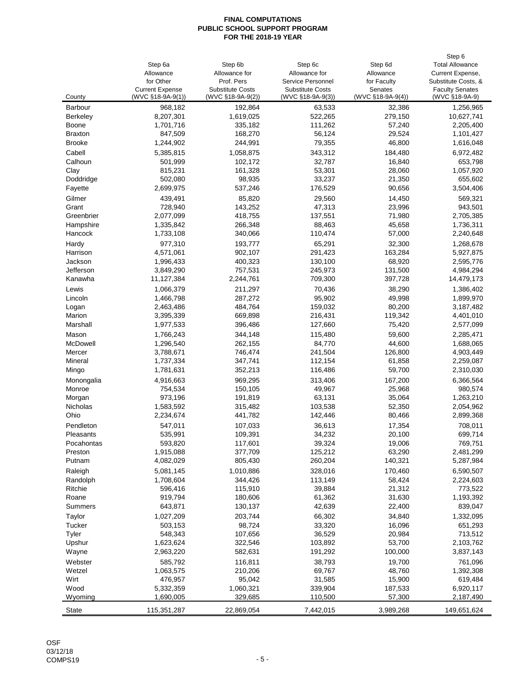|                 |                        |                         |                         |                   | Step 6                 |
|-----------------|------------------------|-------------------------|-------------------------|-------------------|------------------------|
|                 | Step 6a                | Step 6b                 | Step 6c                 | Step 6d           | <b>Total Allowance</b> |
|                 | Allowance              | Allowance for           | Allowance for           | Allowance         | Current Expense,       |
|                 | for Other              | Prof. Pers              | Service Personnel       | for Faculty       | Substitute Costs, &    |
|                 | <b>Current Expense</b> | <b>Substitute Costs</b> | <b>Substitute Costs</b> | Senates           | <b>Faculty Senates</b> |
| County          | (WVC §18-9A-9(1))      | (WVC §18-9A-9(2))       | (WVC §18-9A-9(3))       | (WVC §18-9A-9(4)) | (WVC §18-9A-9)         |
| <b>Barbour</b>  | 968,182                | 192,864                 | 63,533                  | 32,386            | 1,256,965              |
| <b>Berkeley</b> | 8,207,301              | 1,619,025               | 522,265                 | 279,150           | 10,627,741             |
| Boone           | 1,701,716              | 335,182                 | 111,262                 | 57,240            | 2,205,400              |
| <b>Braxton</b>  | 847,509                | 168,270                 | 56,124                  | 29,524            | 1,101,427              |
| <b>Brooke</b>   | 1,244,902              | 244,991                 | 79,355                  | 46,800            | 1,616,048              |
| Cabell          | 5,385,815              | 1,058,875               | 343,312                 | 184,480           | 6,972,482              |
| Calhoun         | 501,999                | 102,172                 | 32,787                  | 16,840            | 653,798                |
| Clay            | 815,231                | 161,328                 | 53,301                  | 28,060            | 1,057,920              |
| Doddridge       | 502,080                | 98,935                  | 33,237                  | 21,350            | 655,602                |
|                 |                        |                         |                         |                   |                        |
| Fayette         | 2,699,975              | 537,246                 | 176,529                 | 90,656            | 3,504,406              |
| Gilmer          | 439,491                | 85,820                  | 29,560                  | 14,450            | 569,321                |
| Grant           | 728,940                | 143,252                 | 47,313                  | 23,996            | 943,501                |
| Greenbrier      | 2,077,099              | 418,755                 | 137,551                 | 71,980            | 2,705,385              |
| Hampshire       | 1,335,842              | 266,348                 | 88,463                  | 45,658            | 1,736,311              |
| Hancock         | 1,733,108              | 340,066                 | 110,474                 | 57,000            | 2,240,648              |
| Hardy           | 977,310                | 193,777                 | 65,291                  | 32,300            | 1,268,678              |
| Harrison        | 4,571,061              | 902,107                 | 291,423                 | 163,284           | 5,927,875              |
| Jackson         | 1,996,433              | 400,323                 | 130,100                 | 68,920            | 2,595,776              |
| Jefferson       | 3,849,290              | 757,531                 | 245,973                 | 131,500           | 4,984,294              |
| Kanawha         | 11,127,384             | 2,244,761               | 709,300                 | 397,728           | 14,479,173             |
| Lewis           | 1,066,379              | 211,297                 | 70,436                  | 38,290            | 1,386,402              |
| Lincoln         | 1,466,798              | 287,272                 | 95,902                  | 49,998            | 1,899,970              |
|                 |                        | 484,764                 | 159,032                 | 80,200            |                        |
| Logan<br>Marion | 2,463,486              | 669,898                 |                         | 119,342           | 3,187,482              |
|                 | 3,395,339              |                         | 216,431                 |                   | 4,401,010              |
| Marshall        | 1,977,533              | 396,486                 | 127,660                 | 75,420            | 2,577,099              |
| Mason           | 1,766,243              | 344,148                 | 115,480                 | 59,600            | 2,285,471              |
| McDowell        | 1,296,540              | 262,155                 | 84,770                  | 44,600            | 1,688,065              |
| Mercer          | 3,788,671              | 746,474                 | 241,504                 | 126,800           | 4,903,449              |
| Mineral         | 1,737,334              | 347,741                 | 112,154                 | 61,858            | 2,259,087              |
| Mingo           | 1,781,631              | 352,213                 | 116,486                 | 59,700            | 2,310,030              |
| Monongalia      | 4,916,663              | 969,295                 | 313,406                 | 167,200           | 6,366,564              |
| Monroe          | 754,534                | 150,105                 | 49,967                  | 25,968            | 980,574                |
| Morgan          | 973,196                | 191,819                 | 63,131                  | 35,064            | 1,263,210              |
| Nicholas        | 1,583,592              | 315,482                 | 103,538                 | 52,350            | 2,054,962              |
| Ohio            | 2,234,674              | 441,782                 | 142,446                 | 80,466            | 2,899,368              |
| Pendleton       | 547,011                | 107,033                 | 36,613                  | 17,354            | 708,011                |
| Pleasants       | 535,991                | 109,391                 | 34,232                  | 20,100            | 699,714                |
| Pocahontas      | 593,820                | 117,601                 | 39,324                  | 19,006            | 769,751                |
| Preston         | 1,915,088              | 377,709                 | 125,212                 | 63,290            | 2,481,299              |
| Putnam          | 4,082,029              | 805,430                 | 260,204                 | 140,321           | 5,287,984              |
|                 |                        |                         |                         |                   |                        |
| Raleigh         | 5,081,145              | 1,010,886               | 328,016                 | 170,460           | 6,590,507              |
| Randolph        | 1,708,604              | 344,426                 | 113,149                 | 58,424            | 2,224,603              |
| Ritchie         | 596,416                | 115,910                 | 39,884                  | 21,312            | 773,522                |
| Roane           | 919,794                | 180,606                 | 61,362                  | 31,630            | 1,193,392              |
| Summers         | 643,871                | 130,137                 | 42,639                  | 22,400            | 839,047                |
| Taylor          | 1,027,209              | 203,744                 | 66,302                  | 34,840            | 1,332,095              |
| Tucker          | 503,153                | 98,724                  | 33,320                  | 16,096            | 651,293                |
| Tyler           | 548,343                | 107,656                 | 36,529                  | 20,984            | 713,512                |
| Upshur          | 1,623,624              | 322,546                 | 103,892                 | 53,700            | 2,103,762              |
| Wayne           | 2,963,220              | 582,631                 | 191,292                 | 100,000           | 3,837,143              |
| Webster         | 585,792                | 116,811                 | 38,793                  | 19,700            | 761,096                |
| Wetzel          | 1,063,575              | 210,206                 | 69,767                  | 48,760            | 1,392,308              |
| Wirt            | 476,957                | 95,042                  | 31,585                  | 15,900            | 619,484                |
| Wood            | 5,332,359              | 1,060,321               | 339,904                 | 187,533           | 6,920,117              |
| Wyoming         | 1,690,005              | 329,685                 | 110,500                 | 57,300            | 2,187,490              |
|                 |                        |                         |                         |                   |                        |
| <b>State</b>    | 115,351,287            | 22,869,054              | 7,442,015               | 3,989,268         | 149,651,624            |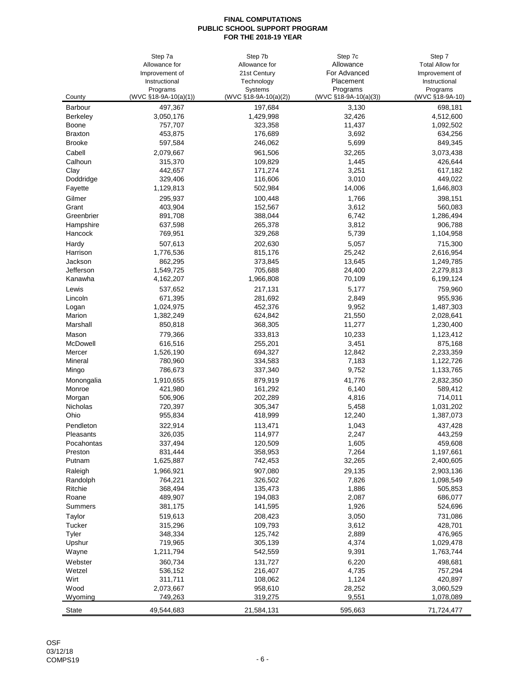|                     | Step 7a                | Step 7b               | Step 7c               | Step 7                 |
|---------------------|------------------------|-----------------------|-----------------------|------------------------|
|                     | Allowance for          | Allowance for         | Allowance             | <b>Total Allow for</b> |
|                     | Improvement of         | 21st Century          | For Advanced          | Improvement of         |
|                     | Instructional          | Technology            | Placement             | Instructional          |
|                     | Programs               | Systems               | Programs              | Programs               |
| County              | (WVC §18-9A-10(a)(1))  | (WVC §18-9A-10(a)(2)) | (WVC §18-9A-10(a)(3)) | (WVC §18-9A-10)        |
| <b>Barbour</b>      | 497,367                | 197,684               | 3,130                 | 698,181                |
| <b>Berkeley</b>     | 3,050,176              | 1,429,998             | 32,426                | 4,512,600              |
| <b>Boone</b>        | 757,707<br>453,875     | 323,358<br>176,689    | 11,437<br>3,692       | 1,092,502              |
| <b>Braxton</b>      |                        |                       |                       | 634,256                |
| <b>Brooke</b>       | 597,584                | 246,062               | 5,699                 | 849,345                |
| Cabell              | 2,079,667              | 961,506               | 32,265                | 3,073,438              |
| Calhoun             | 315,370                | 109,829               | 1,445                 | 426,644<br>617,182     |
| Clay<br>Doddridge   | 442,657<br>329,406     | 171,274<br>116,606    | 3,251<br>3,010        | 449,022                |
| Fayette             | 1,129,813              | 502,984               | 14,006                | 1,646,803              |
|                     |                        |                       |                       |                        |
| Gilmer              | 295,937                | 100,448               | 1,766                 | 398,151                |
| Grant<br>Greenbrier | 403,904<br>891,708     | 152,567<br>388,044    | 3,612<br>6,742        | 560,083<br>1,286,494   |
| Hampshire           | 637,598                | 265,378               | 3,812                 | 906,788                |
| Hancock             | 769,951                | 329,268               | 5,739                 | 1,104,958              |
|                     |                        |                       |                       |                        |
| Hardy               | 507,613                | 202,630               | 5,057                 | 715,300                |
| Harrison<br>Jackson | 1,776,536<br>862,295   | 815,176<br>373,845    | 25,242<br>13,645      | 2,616,954<br>1,249,785 |
| Jefferson           | 1,549,725              | 705,688               | 24,400                | 2,279,813              |
| Kanawha             | 4,162,207              | 1,966,808             | 70,109                | 6,199,124              |
|                     |                        |                       |                       |                        |
| Lewis               | 537,652                | 217,131               | 5,177                 | 759,960                |
| Lincoln             | 671,395                | 281,692<br>452,376    | 2,849<br>9,952        | 955,936                |
| Logan<br>Marion     | 1,024,975<br>1,382,249 | 624,842               | 21,550                | 1,487,303<br>2,028,641 |
| Marshall            | 850,818                | 368,305               | 11,277                | 1,230,400              |
|                     |                        |                       |                       |                        |
| Mason               | 779,366                | 333,813               | 10,233                | 1,123,412              |
| McDowell<br>Mercer  | 616,516<br>1,526,190   | 255,201<br>694,327    | 3,451<br>12,842       | 875,168<br>2,233,359   |
| Mineral             | 780,960                | 334,583               | 7,183                 | 1,122,726              |
| Mingo               | 786,673                | 337,340               | 9,752                 | 1,133,765              |
|                     |                        |                       |                       |                        |
| Monongalia          | 1,910,655<br>421,980   | 879,919               | 41,776                | 2,832,350<br>589,412   |
| Monroe<br>Morgan    | 506,906                | 161,292<br>202,289    | 6,140<br>4,816        | 714,011                |
| Nicholas            | 720,397                | 305,347               | 5,458                 | 1,031,202              |
| Ohio                | 955,834                | 418,999               | 12,240                | 1,387,073              |
| Pendleton           | 322,914                | 113,471               | 1,043                 | 437,428                |
| Pleasants           | 326,035                |                       | 2,247                 | 443,259                |
| Pocahontas          | 337,494                | 114,977<br>120,509    | 1,605                 | 459,608                |
| Preston             | 831,444                | 358,953               | 7,264                 | 1,197,661              |
| Putnam              | 1,625,887              | 742,453               | 32,265                | 2,400,605              |
| Raleigh             | 1,966,921              | 907,080               | 29,135                | 2,903,136              |
| Randolph            | 764,221                | 326,502               | 7,826                 | 1,098,549              |
| Ritchie             | 368,494                | 135,473               | 1,886                 | 505,853                |
| Roane               | 489,907                | 194,083               | 2,087                 | 686,077                |
| Summers             | 381,175                | 141,595               | 1,926                 | 524,696                |
| Taylor              | 519,613                | 208,423               | 3,050                 | 731,086                |
| Tucker              | 315,296                | 109,793               | 3,612                 | 428,701                |
| Tyler               | 348,334                | 125,742               | 2,889                 | 476,965                |
| Upshur              | 719,965                | 305,139               | 4,374                 | 1,029,478              |
| Wayne               | 1,211,794              | 542,559               | 9,391                 | 1,763,744              |
| Webster             | 360,734                | 131,727               | 6,220                 | 498,681                |
| Wetzel              | 536,152                | 216,407               | 4,735                 | 757,294                |
| Wirt                | 311,711                | 108,062               | 1,124                 | 420,897                |
| Wood                | 2,073,667              | 958,610               | 28,252                | 3,060,529              |
| Wyoming             | 749,263                | 319,275               | 9,551                 | 1,078,089              |
|                     |                        |                       |                       |                        |
| <b>State</b>        | 49,544,683             | 21,584,131            | 595,663               | 71,724,477             |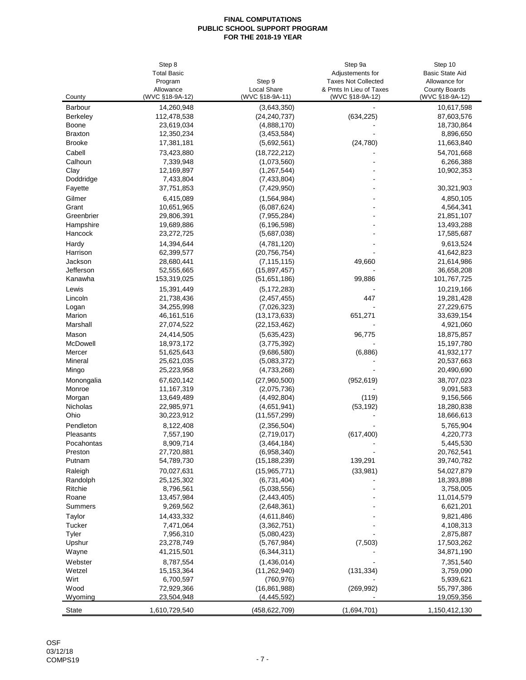|                                 | Step 8<br><b>Total Basic</b> |                              | Step 9a<br>Adjustements for | Step 10<br><b>Basic State Aid</b> |
|---------------------------------|------------------------------|------------------------------|-----------------------------|-----------------------------------|
|                                 | Program                      | Step 9                       | <b>Taxes Not Collected</b>  | Allowance for                     |
|                                 | Allowance                    | <b>Local Share</b>           | & Pmts In Lieu of Taxes     | <b>County Boards</b>              |
| County                          | (WVC §18-9A-12)              | (WVC §18-9A-11)              | (WVC §18-9A-12)             | (WVC §18-9A-12)                   |
| Barbour                         | 14,260,948                   | (3,643,350)                  |                             | 10,617,598                        |
| <b>Berkeley</b>                 | 112,478,538                  | (24, 240, 737)               | (634, 225)                  | 87,603,576                        |
| Boone                           | 23,619,034                   | (4,888,170)                  |                             | 18,730,864                        |
| <b>Braxton</b><br><b>Brooke</b> | 12,350,234                   | (3,453,584)                  |                             | 8,896,650                         |
|                                 | 17,381,181                   | (5,692,561)                  | (24, 780)                   | 11,663,840                        |
| Cabell                          | 73,423,880                   | (18, 722, 212)               |                             | 54,701,668                        |
| Calhoun<br>Clay                 | 7,339,948<br>12,169,897      | (1,073,560)<br>(1, 267, 544) |                             | 6,266,388<br>10,902,353           |
| Doddridge                       | 7,433,804                    | (7,433,804)                  |                             |                                   |
| Fayette                         | 37,751,853                   | (7,429,950)                  |                             | 30,321,903                        |
| Gilmer                          | 6,415,089                    | (1,564,984)                  |                             | 4,850,105                         |
| Grant                           | 10,651,965                   | (6,087,624)                  |                             | 4,564,341                         |
| Greenbrier                      | 29,806,391                   | (7,955,284)                  |                             | 21,851,107                        |
| Hampshire                       | 19,689,886                   | (6, 196, 598)                |                             | 13,493,288                        |
| Hancock                         | 23,272,725                   | (5,687,038)                  |                             | 17,585,687                        |
| Hardy                           | 14,394,644                   | (4,781,120)                  |                             | 9,613,524                         |
| Harrison                        | 62,399,577                   | (20, 756, 754)               |                             | 41,642,823                        |
| Jackson                         | 28,680,441                   | (7, 115, 115)                | 49,660                      | 21,614,986                        |
| Jefferson                       | 52,555,665                   | (15, 897, 457)               |                             | 36,658,208                        |
| Kanawha                         | 153,319,025                  | (51, 651, 186)               | 99,886                      | 101,767,725                       |
| Lewis                           | 15,391,449                   | (5, 172, 283)                |                             | 10,219,166                        |
| Lincoln                         | 21,738,436                   | (2,457,455)                  | 447                         | 19,281,428                        |
| Logan                           | 34,255,998                   | (7,026,323)                  |                             | 27,229,675                        |
| Marion                          | 46, 161, 516                 | (13, 173, 633)               | 651,271                     | 33,639,154                        |
| Marshall                        | 27,074,522                   | (22, 153, 462)               |                             | 4,921,060                         |
| Mason                           | 24,414,505                   | (5,635,423)                  | 96,775                      | 18,875,857                        |
| McDowell                        | 18,973,172                   | (3,775,392)                  |                             | 15,197,780                        |
| Mercer                          | 51,625,643                   | (9,686,580)                  | (6,886)                     | 41,932,177                        |
| Mineral                         | 25,621,035                   | (5,083,372)                  |                             | 20,537,663                        |
| Mingo                           | 25,223,958                   | (4,733,268)                  |                             | 20,490,690                        |
| Monongalia                      | 67,620,142                   | (27,960,500)                 | (952, 619)                  | 38,707,023                        |
| Monroe                          | 11,167,319                   | (2,075,736)                  |                             | 9,091,583                         |
| Morgan                          | 13,649,489                   | (4,492,804)                  | (119)                       | 9,156,566                         |
| Nicholas                        | 22,985,971                   | (4,651,941)                  | (53, 192)                   | 18,280,838                        |
| Ohio                            | 30,223,912                   | (11, 557, 299)               |                             | 18,666,613                        |
| Pendleton                       | 8,122,408                    | (2,356,504)                  |                             | 5,765,904                         |
| Pleasants                       | 7,557,190                    | (2,719,017)                  | (617, 400)                  | 4,220,773                         |
| Pocahontas                      | 8,909,714                    | (3,464,184)                  |                             | 5,445,530                         |
| Preston                         | 27,720,881                   | (6,958,340)                  |                             | 20,762,541                        |
| Putnam                          | 54,789,730                   | (15, 188, 239)               | 139,291                     | 39,740,782                        |
| Raleigh                         | 70,027,631                   | (15, 965, 771)               | (33,981)                    | 54,027,879                        |
| Randolph                        | 25,125,302                   | (6,731,404)                  |                             | 18,393,898                        |
| Ritchie                         | 8,796,561                    | (5,038,556)                  |                             | 3,758,005                         |
| Roane                           | 13,457,984                   | (2,443,405)                  |                             | 11,014,579                        |
| Summers                         | 9,269,562                    | (2,648,361)                  |                             | 6,621,201                         |
| Taylor                          | 14,433,332                   | (4,611,846)                  |                             | 9,821,486                         |
| Tucker                          | 7,471,064                    | (3,362,751)                  |                             | 4,108,313                         |
| Tyler                           | 7,956,310                    | (5,080,423)<br>(5,767,984)   | (7,503)                     | 2,875,887                         |
| Upshur<br>Wayne                 | 23,278,749<br>41,215,501     | (6, 344, 311)                |                             | 17,503,262<br>34,871,190          |
|                                 |                              |                              |                             |                                   |
| Webster                         | 8,787,554<br>15,153,364      | (1,436,014)                  |                             | 7,351,540                         |
| Wetzel                          |                              | (11, 262, 940)               | (131, 334)                  | 3,759,090                         |
| Wirt<br>Wood                    | 6,700,597<br>72,929,366      | (760, 976)<br>(16, 861, 988) | (269, 992)                  | 5,939,621<br>55,797,386           |
| Wyoming                         | 23,504,948                   | (4,445,592)                  |                             | 19,059,356                        |
|                                 |                              |                              |                             |                                   |
| State                           | 1,610,729,540                | (458,622,709)                | (1,694,701)                 | 1,150,412,130                     |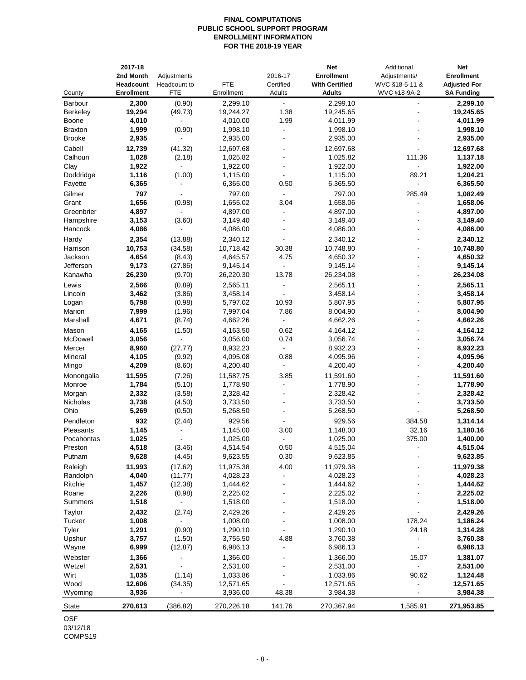# **FINAL COMPUTATIONS PUBLIC SCHOOL SUPPORT PROGRAM ENROLLMENT INFORMATION FOR THE 2018-19 YEAR**

| County            | 2017-18<br>2nd Month<br><b>Headcount</b><br><b>Enrollment</b> | Adjustments<br>Headcount to<br>FTE | <b>FTE</b><br>Enrollment | 2016-17<br>Certified<br>Adults | <b>Net</b><br><b>Enrollment</b><br><b>With Certified</b><br>Adults | Additional<br>Adjustments/<br>WVC §18-5-11 &<br>WVC §18-9A-2 | Net<br><b>Enrollment</b><br><b>Adjusted For</b><br><b>SA Funding</b> |
|-------------------|---------------------------------------------------------------|------------------------------------|--------------------------|--------------------------------|--------------------------------------------------------------------|--------------------------------------------------------------|----------------------------------------------------------------------|
| <b>Barbour</b>    | 2,300                                                         | (0.90)                             | 2,299.10                 | ä,                             | 2,299.10                                                           | $\blacksquare$                                               | 2,299.10                                                             |
| <b>Berkeley</b>   | 19,294                                                        | (49.73)                            | 19,244.27                | 1.38                           | 19,245.65                                                          |                                                              | 19,245.65                                                            |
| Boone             | 4,010                                                         |                                    | 4,010.00                 | 1.99                           | 4,011.99                                                           |                                                              | 4,011.99                                                             |
| <b>Braxton</b>    | 1,999                                                         | (0.90)                             | 1,998.10                 | ÷.                             | 1,998.10                                                           |                                                              | 1,998.10                                                             |
| <b>Brooke</b>     | 2,935                                                         | $\blacksquare$                     | 2,935.00                 |                                | 2,935.00                                                           |                                                              | 2,935.00                                                             |
| Cabell            | 12,739                                                        | (41.32)                            | 12,697.68                |                                | 12,697.68                                                          |                                                              | 12,697.68                                                            |
| Calhoun           | 1,028                                                         | (2.18)                             | 1,025.82                 |                                | 1,025.82                                                           | 111.36                                                       | 1,137.18                                                             |
| Clay              | 1,922                                                         | $\overline{a}$                     | 1,922.00                 |                                | 1,922.00                                                           |                                                              | 1,922.00                                                             |
| Doddridge         | 1,116                                                         | (1.00)                             | 1,115.00                 |                                | 1,115.00                                                           | 89.21                                                        | 1,204.21                                                             |
| Fayette           | 6,365                                                         |                                    | 6,365.00                 | 0.50                           | 6,365.50                                                           | $\blacksquare$                                               | 6,365.50                                                             |
| Gilmer            | 797                                                           |                                    | 797.00                   |                                | 797.00                                                             | 285.49                                                       | 1,082.49                                                             |
| Grant             | 1,656                                                         | (0.98)                             | 1,655.02                 | 3.04                           | 1,658.06                                                           |                                                              | 1,658.06                                                             |
| Greenbrier        | 4,897                                                         |                                    | 4,897.00                 |                                | 4,897.00                                                           |                                                              | 4,897.00                                                             |
| Hampshire         | 3,153                                                         | (3.60)                             | 3,149.40                 |                                | 3,149.40                                                           |                                                              | 3,149.40                                                             |
| Hancock           | 4,086                                                         | $\blacksquare$                     | 4,086.00                 |                                | 4,086.00                                                           |                                                              | 4,086.00                                                             |
| Hardy             | 2,354                                                         | (13.88)                            | 2,340.12                 |                                | 2,340.12                                                           |                                                              | 2,340.12                                                             |
| Harrison          | 10,753                                                        | (34.58)                            | 10,718.42                | 30.38                          | 10,748.80                                                          |                                                              | 10,748.80                                                            |
| Jackson           | 4,654                                                         | (8.43)                             | 4,645.57                 | 4.75                           | 4,650.32                                                           |                                                              | 4,650.32                                                             |
| Jefferson         | 9,173                                                         | (27.86)                            | 9,145.14                 |                                | 9,145.14                                                           |                                                              | 9,145.14                                                             |
| Kanawha           | 26,230                                                        | (9.70)                             | 26,220.30                | 13.78                          | 26,234.08                                                          |                                                              | 26,234.08                                                            |
| Lewis             | 2,566                                                         | (0.89)                             | 2,565.11                 |                                | 2,565.11                                                           |                                                              | 2,565.11                                                             |
| Lincoln           | 3,462                                                         | (3.86)                             | 3,458.14                 |                                | 3,458.14                                                           |                                                              | 3,458.14                                                             |
| Logan<br>Marion   | 5,798<br>7,999                                                | (0.98)                             | 5,797.02<br>7,997.04     | 10.93<br>7.86                  | 5,807.95<br>8,004.90                                               | $\blacksquare$                                               | 5,807.95<br>8,004.90                                                 |
| Marshall          | 4,671                                                         | (1.96)<br>(8.74)                   | 4,662.26                 | ÷                              | 4,662.26                                                           | ä,                                                           | 4,662.26                                                             |
|                   |                                                               |                                    |                          |                                |                                                                    |                                                              |                                                                      |
| Mason<br>McDowell | 4,165<br>3,056                                                | (1.50)<br>$\blacksquare$           | 4,163.50<br>3,056.00     | 0.62<br>0.74                   | 4,164.12<br>3,056.74                                               |                                                              | 4,164.12<br>3,056.74                                                 |
| Mercer            | 8,960                                                         | (27.77)                            | 8,932.23                 | ÷,                             | 8,932.23                                                           |                                                              | 8,932.23                                                             |
| Mineral           | 4,105                                                         | (9.92)                             | 4,095.08                 | 0.88                           | 4,095.96                                                           |                                                              | 4,095.96                                                             |
| Mingo             | 4,209                                                         | (8.60)                             | 4,200.40                 |                                | 4,200.40                                                           |                                                              | 4,200.40                                                             |
| Monongalia        | 11,595                                                        | (7.26)                             | 11,587.75                | 3.85                           | 11,591.60                                                          |                                                              | 11,591.60                                                            |
| Monroe            | 1,784                                                         | (5.10)                             | 1,778.90                 | ä,                             | 1,778.90                                                           | ÷.                                                           | 1,778.90                                                             |
| Morgan            | 2,332                                                         | (3.58)                             | 2,328.42                 | ۰                              | 2,328.42                                                           |                                                              | 2,328.42                                                             |
| Nicholas          | 3,738                                                         | (4.50)                             | 3,733.50                 |                                | 3,733.50                                                           |                                                              | 3,733.50                                                             |
| Ohio              | 5,269                                                         | (0.50)                             | 5,268.50                 |                                | 5,268.50                                                           |                                                              | 5,268.50                                                             |
| Pendleton         | 932                                                           | (2.44)                             | 929.56                   |                                | 929.56                                                             | 384.58                                                       | 1,314.14                                                             |
| Pleasants         | 1,145                                                         |                                    | 1,145.00                 | 3.00                           | 1,148.00                                                           | 32.16                                                        | 1,180.16                                                             |
| Pocahontas        | 1,025                                                         |                                    | 1,025.00                 | $\blacksquare$                 | 1,025.00                                                           | 375.00                                                       | 1,400.00                                                             |
| Preston           | 4,518                                                         | (3.46)                             | 4,514.54                 | 0.50                           | 4,515.04                                                           |                                                              | 4,515.04                                                             |
| Putnam            | 9,628                                                         | (4.45)                             | 9,623.55                 | 0.30                           | 9,623.85                                                           |                                                              | 9,623.85                                                             |
| Raleigh           | 11,993                                                        | (17.62)                            | 11,975.38                | 4.00                           | 11,979.38                                                          |                                                              | 11,979.38                                                            |
| Randolph          | 4,040                                                         | (11.77)                            | 4,028.23                 |                                | 4,028.23                                                           |                                                              | 4,028.23                                                             |
| Ritchie           | 1,457                                                         | (12.38)                            | 1,444.62                 |                                | 1,444.62                                                           |                                                              | 1,444.62                                                             |
| Roane             | 2,226                                                         | (0.98)                             | 2,225.02                 |                                | 2,225.02                                                           |                                                              | 2,225.02                                                             |
| Summers           | 1,518                                                         | $\overline{\phantom{0}}$           | 1,518.00                 |                                | 1,518.00                                                           |                                                              | 1,518.00                                                             |
| Taylor            | 2,432                                                         | (2.74)                             | 2,429.26                 |                                | 2,429.26                                                           |                                                              | 2,429.26                                                             |
| Tucker            | 1,008                                                         | $\blacksquare$                     | 1,008.00                 |                                | 1,008.00                                                           | 178.24                                                       | 1,186.24                                                             |
| Tyler             | 1,291                                                         | (0.90)                             | 1,290.10                 |                                | 1,290.10                                                           | 24.18                                                        | 1,314.28                                                             |
| Upshur            | 3,757                                                         | (1.50)                             | 3,755.50                 | 4.88                           | 3,760.38                                                           |                                                              | 3,760.38                                                             |
| Wayne             | 6,999                                                         | (12.87)                            | 6,986.13                 |                                | 6,986.13                                                           |                                                              | 6,986.13                                                             |
| Webster           | 1,366                                                         |                                    | 1,366.00                 |                                | 1,366.00                                                           | 15.07                                                        | 1,381.07                                                             |
| Wetzel            | 2,531                                                         |                                    | 2,531.00                 |                                | 2,531.00                                                           |                                                              | 2,531.00                                                             |
| Wirt<br>Wood      | 1,035<br>12,606                                               | (1.14)<br>(34.35)                  | 1,033.86<br>12,571.65    |                                | 1,033.86<br>12,571.65                                              | 90.62<br>$\qquad \qquad \blacksquare$                        | 1,124.48<br>12,571.65                                                |
| Wyoming           | 3,936                                                         |                                    | 3,936.00                 | 48.38                          | 3,984.38                                                           |                                                              | 3,984.38                                                             |
| <b>State</b>      | 270,613                                                       | (386.82)                           | 270,226.18               | 141.76                         | 270,367.94                                                         | 1,585.91                                                     | 271,953.85                                                           |
|                   |                                                               |                                    |                          |                                |                                                                    |                                                              |                                                                      |

OSF

03/12/18

COMPS19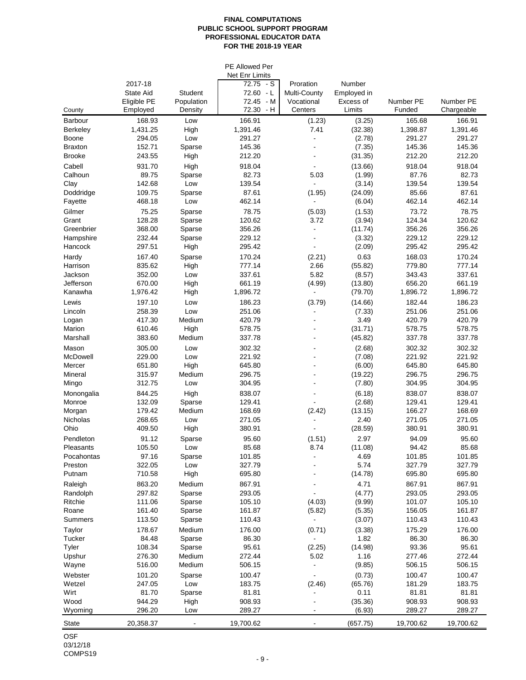## **FINAL COMPUTATIONS PUBLIC SCHOOL SUPPORT PROGRAM PROFESSIONAL EDUCATOR DATA FOR THE 2018-19 YEAR**

|                                 |                    |                  | <b>PE Allowed Per</b><br>Net Enr Limits |                      |                    |                    |                    |
|---------------------------------|--------------------|------------------|-----------------------------------------|----------------------|--------------------|--------------------|--------------------|
|                                 | 2017-18            |                  | 72.75 - S                               | Proration            | Number             |                    |                    |
|                                 | State Aid          | Student          | 72.60 - L                               | Multi-County         | Employed in        |                    |                    |
|                                 | Eligible PE        | Population       | 72.45 - M                               | Vocational           | Excess of          | Number PE          | Number PE          |
| County                          | Employed           | Density          | 72.30 - H                               | Centers              | Limits             | Funded             | Chargeable         |
| <b>Barbour</b>                  | 168.93             | Low              | 166.91                                  | (1.23)               | (3.25)             | 165.68             | 166.91             |
| <b>Berkeley</b>                 | 1,431.25           | High             | 1,391.46                                | 7.41                 | (32.38)            | 1,398.87           | 1,391.46           |
| Boone                           | 294.05<br>152.71   | Low              | 291.27                                  | ÷,<br>$\blacksquare$ | (2.78)<br>(7.35)   | 291.27             | 291.27             |
| <b>Braxton</b><br><b>Brooke</b> | 243.55             | Sparse<br>High   | 145.36<br>212.20                        |                      | (31.35)            | 145.36<br>212.20   | 145.36<br>212.20   |
|                                 | 931.70             |                  |                                         |                      |                    | 918.04             | 918.04             |
| Cabell<br>Calhoun               | 89.75              | High<br>Sparse   | 918.04<br>82.73                         | 5.03                 | (13.66)<br>(1.99)  | 87.76              | 82.73              |
| Clay                            | 142.68             | Low              | 139.54                                  |                      | (3.14)             | 139.54             | 139.54             |
| Doddridge                       | 109.75             | Sparse           | 87.61                                   | (1.95)               | (24.09)            | 85.66              | 87.61              |
| Fayette                         | 468.18             | Low              | 462.14                                  |                      | (6.04)             | 462.14             | 462.14             |
| Gilmer                          | 75.25              | Sparse           | 78.75                                   | (5.03)               | (1.53)             | 73.72              | 78.75              |
| Grant                           | 128.28             | Sparse           | 120.62                                  | 3.72                 | (3.94)             | 124.34             | 120.62             |
| Greenbrier                      | 368.00             | Sparse           | 356.26                                  |                      | (11.74)            | 356.26             | 356.26             |
| Hampshire                       | 232.44             | Sparse           | 229.12                                  |                      | (3.32)             | 229.12             | 229.12             |
| Hancock                         | 297.51             | High             | 295.42                                  |                      | (2.09)             | 295.42             | 295.42             |
| Hardy                           | 167.40             | Sparse           | 170.24                                  | (2.21)               | 0.63               | 168.03             | 170.24             |
| Harrison                        | 835.62             | High             | 777.14                                  | 2.66                 | (55.82)            | 779.80             | 777.14             |
| Jackson                         | 352.00             | Low              | 337.61                                  | 5.82                 | (8.57)             | 343.43             | 337.61             |
| Jefferson<br>Kanawha            | 670.00<br>1,976.42 | High<br>High     | 661.19<br>1,896.72                      | (4.99)               | (13.80)<br>(79.70) | 656.20<br>1,896.72 | 661.19<br>1,896.72 |
| Lewis                           | 197.10             |                  | 186.23                                  |                      | (14.66)            | 182.44             | 186.23             |
| Lincoln                         | 258.39             | Low<br>Low       | 251.06                                  | (3.79)               | (7.33)             | 251.06             | 251.06             |
| Logan                           | 417.30             | Medium           | 420.79                                  | $\blacksquare$       | 3.49               | 420.79             | 420.79             |
| Marion                          | 610.46             | High             | 578.75                                  | $\blacksquare$       | (31.71)            | 578.75             | 578.75             |
| Marshall                        | 383.60             | Medium           | 337.78                                  | $\blacksquare$       | (45.82)            | 337.78             | 337.78             |
| Mason                           | 305.00             | Low              | 302.32                                  | $\blacksquare$       | (2.68)             | 302.32             | 302.32             |
| McDowell                        | 229.00             | Low              | 221.92                                  | L,                   | (7.08)             | 221.92             | 221.92             |
| Mercer                          | 651.80             | High             | 645.80                                  |                      | (6.00)             | 645.80             | 645.80             |
| Mineral                         | 315.97             | Medium           | 296.75                                  | $\blacksquare$       | (19.22)            | 296.75             | 296.75             |
| Mingo                           | 312.75             | Low              | 304.95                                  |                      | (7.80)             | 304.95             | 304.95             |
| Monongalia                      | 844.25             | High             | 838.07                                  |                      | (6.18)             | 838.07             | 838.07             |
| Monroe                          | 132.09             | Sparse           | 129.41                                  |                      | (2.68)             | 129.41             | 129.41             |
| Morgan                          | 179.42             | Medium           | 168.69                                  | (2.42)               | (13.15)            | 166.27             | 168.69             |
| Nicholas<br>Ohio                | 268.65<br>409.50   | Low<br>High      | 271.05<br>380.91                        |                      | 2.40<br>(28.59)    | 271.05<br>380.91   | 271.05<br>380.91   |
| Pendleton                       |                    |                  |                                         |                      | 2.97               | 94.09              |                    |
| Pleasants                       | 91.12<br>105.50    | Sparse<br>Low    | 95.60<br>85.68                          | (1.51)<br>8.74       | (11.08)            | 94.42              | 95.60<br>85.68     |
| Pocahontas                      | 97.16              | Sparse           | 101.85                                  |                      | 4.69               | 101.85             | 101.85             |
| Preston                         | 322.05             | Low              | 327.79                                  |                      | 5.74               | 327.79             | 327.79             |
| Putnam                          | 710.58             | High             | 695.80                                  |                      | (14.78)            | 695.80             | 695.80             |
| Raleigh                         | 863.20             | Medium           | 867.91                                  |                      | 4.71               | 867.91             | 867.91             |
| Randolph                        | 297.82             | Sparse           | 293.05                                  |                      | (4.77)             | 293.05             | 293.05             |
| Ritchie                         | 111.06             | Sparse           | 105.10                                  | (4.03)               | (9.99)             | 101.07             | 105.10             |
| Roane                           | 161.40             | Sparse           | 161.87                                  | (5.82)               | (5.35)             | 156.05             | 161.87             |
| <b>Summers</b>                  | 113.50             | Sparse           | 110.43                                  |                      | (3.07)             | 110.43             | 110.43             |
| Taylor                          | 178.67             | Medium           | 176.00                                  | (0.71)               | (3.38)             | 175.29             | 176.00             |
| <b>Tucker</b>                   | 84.48              | Sparse           | 86.30                                   |                      | 1.82               | 86.30              | 86.30              |
| Tyler                           | 108.34             | Sparse           | 95.61<br>272.44                         | (2.25)               | (14.98)            | 93.36              | 95.61<br>272.44    |
| Upshur                          | 276.30<br>516.00   | Medium<br>Medium | 506.15                                  | 5.02                 | 1.16<br>(9.85)     | 277.46<br>506.15   | 506.15             |
| Wayne<br>Webster                | 101.20             |                  | 100.47                                  |                      |                    | 100.47             | 100.47             |
| Wetzel                          | 247.05             | Sparse<br>Low    | 183.75                                  | (2.46)               | (0.73)<br>(65.76)  | 181.29             | 183.75             |
| Wirt                            | 81.70              | Sparse           | 81.81                                   | ÷,                   | 0.11               | 81.81              | 81.81              |
| Wood                            | 944.29             | High             | 908.93                                  |                      | (35.36)            | 908.93             | 908.93             |
| Wyoming                         | 296.20             | Low              | 289.27                                  |                      | (6.93)             | 289.27             | 289.27             |
| State                           | 20,358.37          |                  | 19,700.62                               | $\blacksquare$       | (657.75)           | 19,700.62          | 19,700.62          |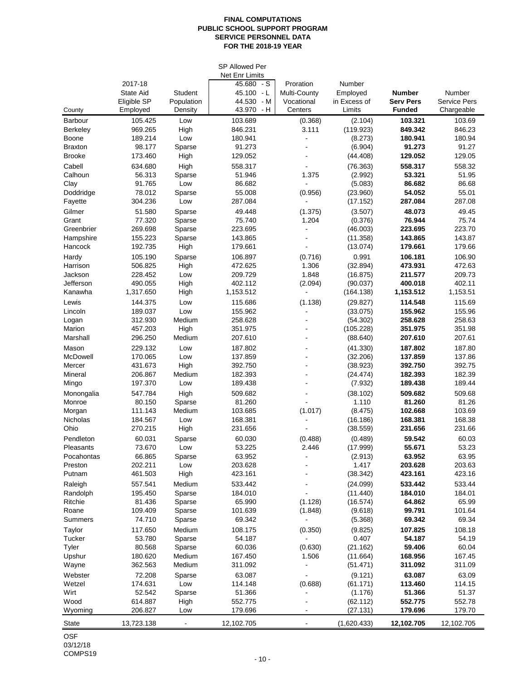## **FINAL COMPUTATIONS PUBLIC SCHOOL SUPPORT PROGRAM SERVICE PERSONNEL DATA FOR THE 2018-19 YEAR**

|                      |                    |                  | <b>SP Allowed Per</b><br>Net Enr Limits |                  |                      |                    |                     |
|----------------------|--------------------|------------------|-----------------------------------------|------------------|----------------------|--------------------|---------------------|
|                      | 2017-18            |                  | 45.680<br>- S                           | Proration        | Number               |                    |                     |
|                      | State Aid          | Student          | $45.100 - L$                            | Multi-County     | Employed             | <b>Number</b>      | Number              |
|                      | Eligible SP        | Population       | – M<br>44.530                           | Vocational       | in Excess of         | <b>Serv Pers</b>   | <b>Service Pers</b> |
| County               | Employed           | Density          | 43.970 - H                              | Centers          | Limits               | <b>Funded</b>      | Chargeable          |
| <b>Barbour</b>       | 105.425            | Low              | 103.689                                 | (0.368)          | (2.104)              | 103.321            | 103.69              |
| <b>Berkeley</b>      | 969.265            | High             | 846.231                                 | 3.111            | (119.923)            | 849.342            | 846.23              |
| Boone                | 189.214            | Low              | 180.941                                 | ÷,               | (8.273)              | 180.941            | 180.94              |
| <b>Braxton</b>       | 98.177             | Sparse           | 91.273                                  |                  | (6.904)              | 91.273             | 91.27               |
| <b>Brooke</b>        | 173.460            | High             | 129.052                                 |                  | (44.408)             | 129.052            | 129.05              |
| Cabell               | 634.680            | High             | 558.317                                 |                  | (76.363)             | 558.317            | 558.32              |
| Calhoun              | 56.313             | Sparse           | 51.946                                  | 1.375            | (2.992)              | 53.321             | 51.95               |
| Clay                 | 91.765             | Low              | 86.682                                  |                  | (5.083)              | 86.682             | 86.68               |
| Doddridge<br>Fayette | 78.012<br>304.236  | Sparse<br>Low    | 55.008<br>287.084                       | (0.956)          | (23.960)<br>(17.152) | 54.052<br>287.084  | 55.01<br>287.08     |
|                      |                    |                  |                                         |                  |                      | 48.073             |                     |
| Gilmer<br>Grant      | 51.580<br>77.320   | Sparse<br>Sparse | 49.448<br>75.740                        | (1.375)<br>1.204 | (3.507)<br>(0.376)   | 76.944             | 49.45<br>75.74      |
| Greenbrier           | 269.698            | Sparse           | 223.695                                 |                  | (46.003)             | 223.695            | 223.70              |
| Hampshire            | 155.223            | Sparse           | 143.865                                 |                  | (11.358)             | 143.865            | 143.87              |
| Hancock              | 192.735            | High             | 179.661                                 |                  | (13.074)             | 179.661            | 179.66              |
| Hardy                | 105.190            | Sparse           | 106.897                                 | (0.716)          | 0.991                | 106.181            | 106.90              |
| Harrison             | 506.825            | High             | 472.625                                 | 1.306            | (32.894)             | 473.931            | 472.63              |
| Jackson              | 228.452            | Low              | 209.729                                 | 1.848            | (16.875)             | 211.577            | 209.73              |
| Jefferson            | 490.055            | High             | 402.112                                 | (2.094)          | (90.037)             | 400.018            | 402.11              |
| Kanawha              | 1,317.650          | High             | 1,153.512                               |                  | (164.138)            | 1,153.512          | 1,153.51            |
| Lewis                | 144.375            | Low              | 115.686                                 | (1.138)          | (29.827)             | 114.548            | 115.69              |
| Lincoln              | 189.037            | Low              | 155.962                                 |                  | (33.075)             | 155.962            | 155.96              |
| Logan                | 312.930            | Medium           | 258.628                                 |                  | (54.302)             | 258.628            | 258.63              |
| Marion               | 457.203            | High             | 351.975                                 |                  | (105.228)            | 351.975            | 351.98              |
| Marshall             | 296.250            | Medium           | 207.610                                 | ÷.               | (88.640)             | 207.610            | 207.61              |
| Mason                | 229.132            | Low              | 187.802                                 | $\blacksquare$   | (41.330)             | 187.802            | 187.80              |
| McDowell             | 170.065            | Low              | 137.859                                 | $\blacksquare$   | (32.206)             | 137.859            | 137.86              |
| Mercer               | 431.673            | High             | 392.750                                 | ä,               | (38.923)             | 392.750            | 392.75              |
| Mineral              | 206.867<br>197.370 | Medium<br>Low    | 182.393<br>189.438                      |                  | (24.474)             | 182.393<br>189.438 | 182.39<br>189.44    |
| Mingo                |                    |                  |                                         |                  | (7.932)              |                    |                     |
| Monongalia<br>Monroe | 547.784<br>80.150  | High<br>Sparse   | 509.682<br>81.260                       |                  | (38.102)<br>1.110    | 509.682<br>81.260  | 509.68<br>81.26     |
| Morgan               | 111.143            | Medium           | 103.685                                 | (1.017)          | (8.475)              | 102.668            | 103.69              |
| Nicholas             | 184.567            | Low              | 168.381                                 |                  | (16.186)             | 168.381            | 168.38              |
| Ohio                 | 270.215            | High             | 231.656                                 |                  | (38.559)             | 231.656            | 231.66              |
| Pendleton            | 60.031             | Sparse           | 60.030                                  | (0.488)          | (0.489)              | 59.542             | 60.03               |
| Pleasants            | 73.670             | Low              | 53.225                                  | 2.446            | (17.999)             | 55.671             | 53.23               |
| Pocahontas           | 66.865             | Sparse           | 63.952                                  |                  | (2.913)              | 63.952             | 63.95               |
| Preston              | 202.211            | Low              | 203.628                                 |                  | 1.417                | 203.628            | 203.63              |
| Putnam               | 461.503            | High             | 423.161                                 |                  | (38.342)             | 423.161            | 423.16              |
| Raleigh              | 557.541            | Medium           | 533.442                                 |                  | (24.099)             | 533.442            | 533.44              |
| Randolph             | 195.450            | Sparse           | 184.010                                 |                  | (11.440)             | 184.010            | 184.01              |
| Ritchie              | 81.436             | Sparse           | 65.990                                  | (1.128)          | (16.574)             | 64.862             | 65.99               |
| Roane                | 109.409            | Sparse           | 101.639                                 | (1.848)          | (9.618)              | 99.791             | 101.64              |
| Summers              | 74.710             | Sparse           | 69.342                                  |                  | (5.368)              | 69.342             | 69.34               |
| Taylor               | 117.650            | Medium           | 108.175                                 | (0.350)          | (9.825)              | 107.825            | 108.18              |
| Tucker               | 53.780             | Sparse           | 54.187                                  |                  | 0.407                | 54.187             | 54.19               |
| Tyler                | 80.568             | Sparse           | 60.036                                  | (0.630)          | (21.162)             | 59.406             | 60.04               |
| Upshur               | 180.620            | Medium<br>Medium | 167.450                                 | 1.506            | (11.664)             | 168.956            | 167.45              |
| Wayne                | 362.563            |                  | 311.092                                 |                  | (51.471)             | 311.092            | 311.09              |
| Webster<br>Wetzel    | 72.208<br>174.631  | Sparse<br>Low    | 63.087<br>114.148                       | (0.688)          | (9.121)<br>(61.171)  | 63.087<br>113.460  | 63.09<br>114.15     |
| Wirt                 | 52.542             | Sparse           | 51.366                                  |                  | (1.176)              | 51.366             | 51.37               |
| Wood                 | 614.887            | High             | 552.775                                 |                  | (62.112)             | 552.775            | 552.78              |
| Wyoming              | 206.827            | Low              | 179.696                                 |                  | (27.131)             | 179.696            | 179.70              |
| State                | 13,723.138         |                  | 12,102.705                              |                  | (1,620.433)          | 12,102.705         | 12,102.705          |
|                      |                    |                  |                                         |                  |                      |                    |                     |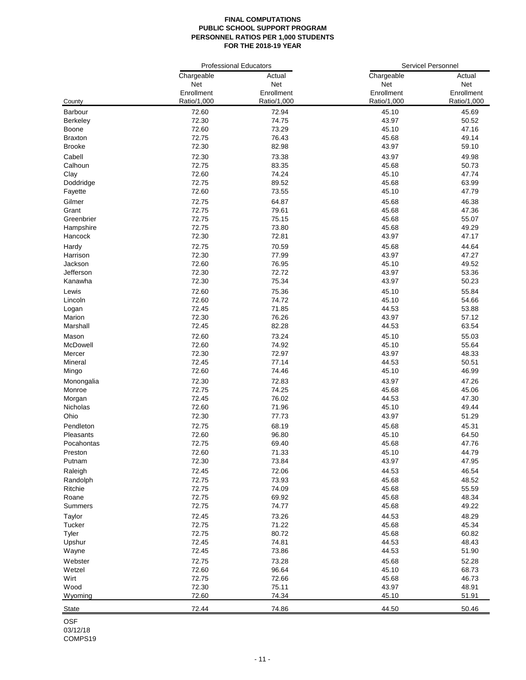#### **FINAL COMPUTATIONS PUBLIC SCHOOL SUPPORT PROGRAM PERSONNEL RATIOS PER 1,000 STUDENTS FOR THE 2018-19 YEAR**

|                 | <b>Professional Educators</b> |             | <b>Servicel Personnel</b> |             |
|-----------------|-------------------------------|-------------|---------------------------|-------------|
|                 | Chargeable                    | Actual      | Chargeable                | Actual      |
|                 | Net                           | Net         | Net                       | Net         |
|                 | Enrollment                    | Enrollment  | Enrollment                | Enrollment  |
| County          | Ratio/1,000                   | Ratio/1,000 | Ratio/1,000               | Ratio/1,000 |
| Barbour         | 72.60                         | 72.94       | 45.10                     | 45.69       |
| <b>Berkeley</b> | 72.30                         | 74.75       | 43.97                     | 50.52       |
| Boone           | 72.60                         | 73.29       | 45.10                     | 47.16       |
| <b>Braxton</b>  | 72.75                         | 76.43       | 45.68                     | 49.14       |
| <b>Brooke</b>   | 72.30                         | 82.98       | 43.97                     | 59.10       |
| Cabell          | 72.30                         | 73.38       | 43.97                     | 49.98       |
| Calhoun         | 72.75                         | 83.35       | 45.68                     | 50.73       |
| Clay            | 72.60                         | 74.24       | 45.10                     | 47.74       |
| Doddridge       | 72.75                         | 89.52       | 45.68                     | 63.99       |
| Fayette         | 72.60                         | 73.55       | 45.10                     | 47.79       |
|                 |                               |             |                           |             |
| Gilmer          | 72.75                         | 64.87       | 45.68                     | 46.38       |
| Grant           | 72.75                         | 79.61       | 45.68                     | 47.36       |
| Greenbrier      | 72.75                         | 75.15       | 45.68                     | 55.07       |
| Hampshire       | 72.75                         | 73.80       | 45.68                     | 49.29       |
| Hancock         | 72.30                         | 72.81       | 43.97                     | 47.17       |
| Hardy           | 72.75                         | 70.59       | 45.68                     | 44.64       |
| Harrison        | 72.30                         | 77.99       | 43.97                     | 47.27       |
| Jackson         | 72.60                         | 76.95       | 45.10                     | 49.52       |
| Jefferson       | 72.30                         | 72.72       | 43.97                     | 53.36       |
| Kanawha         | 72.30                         | 75.34       | 43.97                     | 50.23       |
| Lewis           | 72.60                         | 75.36       | 45.10                     | 55.84       |
| Lincoln         | 72.60                         | 74.72       | 45.10                     | 54.66       |
| Logan           | 72.45                         | 71.85       | 44.53                     | 53.88       |
| Marion          | 72.30                         | 76.26       | 43.97                     | 57.12       |
| Marshall        | 72.45                         | 82.28       | 44.53                     | 63.54       |
|                 |                               |             |                           |             |
| Mason           | 72.60                         | 73.24       | 45.10                     | 55.03       |
| McDowell        | 72.60                         | 74.92       | 45.10                     | 55.64       |
| Mercer          | 72.30                         | 72.97       | 43.97                     | 48.33       |
| Mineral         | 72.45                         | 77.14       | 44.53                     | 50.51       |
| Mingo           | 72.60                         | 74.46       | 45.10                     | 46.99       |
| Monongalia      | 72.30                         | 72.83       | 43.97                     | 47.26       |
| Monroe          | 72.75                         | 74.25       | 45.68                     | 45.06       |
| Morgan          | 72.45                         | 76.02       | 44.53                     | 47.30       |
| Nicholas        | 72.60                         | 71.96       | 45.10                     | 49.44       |
| Ohio            | 72.30                         | 77.73       | 43.97                     | 51.29       |
| Pendleton       | 72.75                         | 68.19       | 45.68                     | 45.31       |
| Pleasants       | 72.60                         | 96.80       | 45.10                     | 64.50       |
| Pocahontas      | 72.75                         | 69.40       | 45.68                     | 47.76       |
| Preston         | 72.60                         | 71.33       | 45.10                     | 44.79       |
| Putnam          | 72.30                         | 73.84       | 43.97                     | 47.95       |
| Raleigh         | 72.45                         | 72.06       | 44.53                     | 46.54       |
| Randolph        | 72.75                         | 73.93       | 45.68                     | 48.52       |
| Ritchie         | 72.75                         | 74.09       | 45.68                     | 55.59       |
| Roane           | 72.75                         | 69.92       | 45.68                     | 48.34       |
| Summers         | 72.75                         | 74.77       | 45.68                     | 49.22       |
|                 |                               |             |                           |             |
| Taylor          | 72.45                         | 73.26       | 44.53                     | 48.29       |
| Tucker          | 72.75                         | 71.22       | 45.68                     | 45.34       |
| Tyler           | 72.75                         | 80.72       | 45.68                     | 60.82       |
| Upshur          | 72.45                         | 74.81       | 44.53                     | 48.43       |
| Wayne           | 72.45                         | 73.86       | 44.53                     | 51.90       |
| Webster         | 72.75                         | 73.28       | 45.68                     | 52.28       |
| Wetzel          | 72.60                         | 96.64       | 45.10                     | 68.73       |
| Wirt            | 72.75                         | 72.66       | 45.68                     | 46.73       |
| Wood            | 72.30                         | 75.11       | 43.97                     | 48.91       |
| Wyoming         | 72.60                         | 74.34       | 45.10                     | 51.91       |
| <b>State</b>    | 72.44                         | 74.86       | 44.50                     | 50.46       |
|                 |                               |             |                           |             |

OSF  $03/12/18$ COMPS19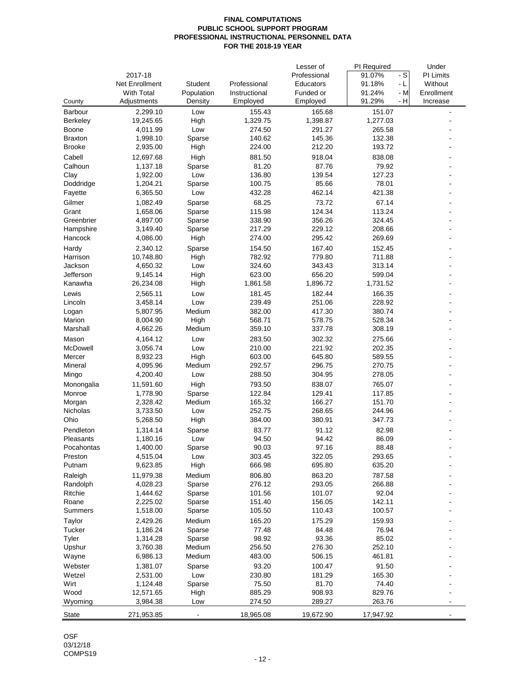## **FINAL COMPUTATIONS PUBLIC SCHOOL SUPPORT PROGRAM PROFESSIONAL INSTRUCTIONAL PERSONNEL DATA FOR THE 2018-19 YEAR**

|                   |                       |                |                  | Lesser of        | PI Required                          | Under          |
|-------------------|-----------------------|----------------|------------------|------------------|--------------------------------------|----------------|
|                   | 2017-18               |                |                  | Professional     | $\overline{\phantom{a}}$ s<br>91.07% | PI Limits      |
|                   | Net Enrollment        | Student        | Professional     | Educators        | 91.18%<br>- L                        | Without        |
|                   | <b>With Total</b>     | Population     | Instructional    | Funded or        | 91.24%<br>- M                        | Enrollment     |
| County            | Adjustments           | Density        | Employed         | Employed         | 91.29%<br>- H                        | Increase       |
| Barbour           | 2,299.10              | Low            | 155.43           | 165.68           | 151.07                               |                |
| Berkeley          | 19,245.65             | High           | 1,329.75         | 1,398.87         | 1,277.03                             |                |
| Boone             | 4,011.99              | Low            | 274.50           | 291.27           | 265.58                               |                |
| <b>Braxton</b>    | 1,998.10              | Sparse         | 140.62           | 145.36           | 132.38                               |                |
| <b>Brooke</b>     | 2,935.00              | High           | 224.00           | 212.20           | 193.72                               |                |
| Cabell            | 12,697.68             | High           | 881.50           | 918.04           | 838.08                               |                |
| Calhoun           | 1,137.18              | Sparse         | 81.20            | 87.76            | 79.92                                |                |
| Clay              | 1,922.00              | Low            | 136.80           | 139.54           | 127.23                               |                |
| Doddridge         | 1,204.21              | Sparse         | 100.75           | 85.66            | 78.01                                |                |
| Fayette           | 6,365.50              | Low            | 432.28           | 462.14           | 421.38                               |                |
| Gilmer            | 1,082.49              | Sparse         | 68.25            | 73.72            | 67.14                                |                |
| Grant             | 1,658.06              | Sparse         | 115.98           | 124.34           | 113.24                               |                |
| Greenbrier        | 4,897.00              | Sparse         | 338.90           | 356.26           | 324.45                               |                |
| Hampshire         | 3,149.40              | Sparse         | 217.29           | 229.12           | 208.66                               |                |
| Hancock           | 4,086.00              | High           | 274.00           | 295.42           | 269.69                               |                |
|                   |                       |                |                  |                  |                                      |                |
| Hardy<br>Harrison | 2,340.12<br>10,748.80 | Sparse<br>High | 154.50<br>782.92 | 167.40<br>779.80 | 152.45<br>711.88                     |                |
| Jackson           | 4,650.32              | Low            | 324.60           | 343.43           | 313.14                               |                |
| Jefferson         | 9,145.14              | High           | 623.00           | 656.20           | 599.04                               |                |
| Kanawha           | 26,234.08             |                | 1,861.58         | 1,896.72         | 1,731.52                             |                |
|                   |                       | High           |                  |                  |                                      |                |
| Lewis             | 2,565.11              | Low            | 181.45           | 182.44           | 166.35                               |                |
| Lincoln           | 3,458.14              | Low            | 239.49           | 251.06           | 228.92                               |                |
| Logan             | 5,807.95              | Medium         | 382.00           | 417.30           | 380.74                               |                |
| Marion            | 8,004.90              | High           | 568.71           | 578.75           | 528.34                               |                |
| Marshall          | 4,662.26              | Medium         | 359.10           | 337.78           | 308.19                               |                |
| Mason             | 4,164.12              | Low            | 283.50           | 302.32           | 275.66                               |                |
| McDowell          | 3,056.74              | Low            | 210.00           | 221.92           | 202.35                               |                |
| Mercer            | 8,932.23              | High           | 603.00           | 645.80           | 589.55                               |                |
| Mineral           | 4,095.96              | Medium         | 292.57           | 296.75           | 270.75                               |                |
| Mingo             | 4,200.40              | Low            | 288.50           | 304.95           | 278.05                               |                |
| Monongalia        | 11,591.60             | High           | 793.50           | 838.07           | 765.07                               |                |
| Monroe            | 1,778.90              | Sparse         | 122.84           | 129.41           | 117.85                               |                |
| Morgan            | 2,328.42              | Medium         | 165.32           | 166.27           | 151.70                               |                |
| Nicholas          | 3,733.50              | Low            | 252.75           | 268.65           | 244.96                               |                |
| Ohio              | 5,268.50              | High           | 384.00           | 380.91           | 347.73                               |                |
| Pendleton         | 1,314.14              | Sparse         | 83.77            | 91.12            | 82.98                                |                |
| Pleasants         | 1,180.16              | Low            | 94.50            | 94.42            | 86.09                                |                |
| Pocahontas        | 1,400.00              | Sparse         | 90.03            | 97.16            | 88.48                                |                |
| Preston           | 4,515.04              | Low            | 303.45           | 322.05           | 293.65                               |                |
| Putnam            | 9,623.85              | High           | 666.98           | 695.80           | 635.20                               |                |
| Raleigh           | 11,979.38             | Medium         | 806.80           | 863.20           | 787.58                               |                |
| Randolph          | 4,028.23              | Sparse         | 276.12           | 293.05           | 266.88                               |                |
| Ritchie           | 1,444.62              | Sparse         | 101.56           | 101.07           | 92.04                                |                |
| Roane             | 2,225.02              | Sparse         | 151.40           | 156.05           | 142.11                               |                |
| Summers           | 1,518.00              | Sparse         | 105.50           | 110.43           | 100.57                               |                |
| Taylor            | 2,429.26              | Medium         | 165.20           | 175.29           | 159.93                               |                |
| Tucker            | 1,186.24              | Sparse         | 77.48            | 84.48            | 76.94                                |                |
| Tyler             | 1,314.28              | Sparse         | 98.92            | 93.36            | 85.02                                |                |
| Upshur            | 3,760.38              | Medium         | 256.50           | 276.30           | 252.10                               |                |
| Wayne             | 6,986.13              | Medium         | 483.00           | 506.15           | 461.81                               |                |
| Webster           | 1,381.07              | Sparse         | 93.20            | 100.47           | 91.50                                |                |
| Wetzel            | 2,531.00              | Low            | 230.80           | 181.29           | 165.30                               |                |
| Wirt              | 1,124.48              | Sparse         | 75.50            | 81.70            | 74.40                                |                |
| Wood              | 12,571.65             | High           | 885.29           | 908.93           | 829.76                               |                |
| Wyoming           | 3,984.38              | Low            | 274.50           | 289.27           | 263.76                               | $\overline{a}$ |
|                   |                       |                |                  |                  |                                      |                |
| <b>State</b>      | 271,953.85            |                | 18,965.08        | 19,672.90        | 17,947.92                            |                |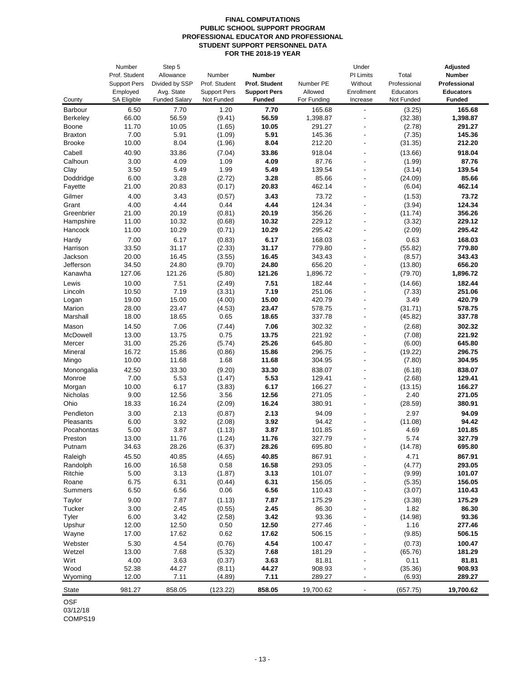#### **FINAL COMPUTATIONS PUBLIC SCHOOL SUPPORT PROGRAM PROFESSIONAL EDUCATOR AND PROFESSIONAL STUDENT SUPPORT PERSONNEL DATA FOR THE 2018-19 YEAR**

|                 | Number              | Step 5               |                     |                     |             | Under                    |              | <b>Adjusted</b>  |
|-----------------|---------------------|----------------------|---------------------|---------------------|-------------|--------------------------|--------------|------------------|
|                 | Prof. Student       | Allowance            | Number              | Number              |             | PI Limits                | Total        | <b>Number</b>    |
|                 | <b>Support Pers</b> | Divided by SSP       | Prof. Student       | Prof. Student       | Number PE   | Without                  | Professional | Professional     |
|                 | Employed            | Avg. State           | <b>Support Pers</b> | <b>Support Pers</b> | Allowed     | Enrollment               | Educators    | <b>Educators</b> |
| County          | <b>SA Eligible</b>  | <b>Funded Salary</b> | Not Funded          | <b>Funded</b>       | For Funding | Increase                 | Not Funded   | Funded           |
| Barbour         | 6.50                | 7.70                 | 1.20                | 7.70                | 165.68      | $\overline{a}$           | (3.25)       | 165.68           |
| <b>Berkeley</b> | 66.00               | 56.59                | (9.41)              | 56.59               | 1,398.87    | ÷,                       | (32.38)      | 1,398.87         |
| Boone           | 11.70               | 10.05                | (1.65)              | 10.05               | 291.27      | ٠                        | (2.78)       | 291.27           |
| <b>Braxton</b>  | 7.00                | 5.91                 | (1.09)              | 5.91                | 145.36      |                          | (7.35)       | 145.36           |
| <b>Brooke</b>   | 10.00               | 8.04                 | (1.96)              | 8.04                | 212.20      | $\overline{\phantom{a}}$ | (31.35)      | 212.20           |
| Cabell          | 40.90               | 33.86                | (7.04)              | 33.86               | 918.04      | ٠                        | (13.66)      | 918.04           |
| Calhoun         | 3.00                | 4.09                 | 1.09                | 4.09                | 87.76       |                          | (1.99)       | 87.76            |
| Clay            | 3.50                | 5.49                 | 1.99                | 5.49                | 139.54      | ٠                        | (3.14)       | 139.54           |
| Doddridge       | 6.00                | 3.28                 | (2.72)              | 3.28                | 85.66       | ٠                        | (24.09)      | 85.66            |
| Fayette         | 21.00               | 20.83                | (0.17)              | 20.83               | 462.14      | ٠                        | (6.04)       | 462.14           |
| Gilmer          | 4.00                | 3.43                 | (0.57)              | 3.43                | 73.72       | ÷,                       | (1.53)       | 73.72            |
| Grant           | 4.00                | 4.44                 | 0.44                | 4.44                | 124.34      | $\overline{\phantom{a}}$ | (3.94)       | 124.34           |
| Greenbrier      | 21.00               | 20.19                | (0.81)              | 20.19               | 356.26      |                          | (11.74)      | 356.26           |
| Hampshire       | 11.00               | 10.32                | (0.68)              | 10.32               | 229.12      | ÷,                       | (3.32)       | 229.12           |
| Hancock         | 11.00               | 10.29                | (0.71)              | 10.29               | 295.42      |                          | (2.09)       | 295.42           |
| Hardy           | 7.00                | 6.17                 | (0.83)              | 6.17                | 168.03      |                          | 0.63         | 168.03           |
| Harrison        | 33.50               | 31.17                | (2.33)              | 31.17               | 779.80      |                          | (55.82)      | 779.80           |
| Jackson         | 20.00               | 16.45                | (3.55)              | 16.45               | 343.43      | $\overline{\phantom{a}}$ | (8.57)       | 343.43           |
| Jefferson       | 34.50               | 24.80                | (9.70)              | 24.80               | 656.20      |                          | (13.80)      | 656.20           |
| Kanawha         | 127.06              | 121.26               | (5.80)              | 121.26              | 1,896.72    | ٠                        | (79.70)      | 1,896.72         |
| Lewis           | 10.00               | 7.51                 | (2.49)              | 7.51                | 182.44      |                          | (14.66)      | 182.44           |
| Lincoln         | 10.50               | 7.19                 | (3.31)              | 7.19                | 251.06      | ٠                        | (7.33)       | 251.06           |
| Logan           | 19.00               | 15.00                | (4.00)              | 15.00               | 420.79      | ٠                        | 3.49         | 420.79           |
| Marion          | 28.00               | 23.47                | (4.53)              | 23.47               | 578.75      |                          | (31.71)      | 578.75           |
| Marshall        | 18.00               | 18.65                | 0.65                | 18.65               | 337.78      | ÷,                       | (45.82)      | 337.78           |
| Mason           | 14.50               | 7.06                 | (7.44)              | 7.06                | 302.32      |                          | (2.68)       | 302.32           |
| McDowell        | 13.00               | 13.75                | 0.75                | 13.75               | 221.92      |                          | (7.08)       | 221.92           |
| Mercer          | 31.00               | 25.26                | (5.74)              | 25.26               | 645.80      | ÷,                       | (6.00)       | 645.80           |
| Mineral         | 16.72               | 15.86                | (0.86)              | 15.86               | 296.75      | ÷,                       | (19.22)      | 296.75           |
| Mingo           | 10.00               | 11.68                | 1.68                | 11.68               | 304.95      | ÷,                       | (7.80)       | 304.95           |
| Monongalia      | 42.50               | 33.30                | (9.20)              | 33.30               | 838.07      |                          | (6.18)       | 838.07           |
| Monroe          | 7.00                | 5.53                 | (1.47)              | 5.53                | 129.41      | ٠                        | (2.68)       | 129.41           |
| Morgan          | 10.00               | 6.17                 | (3.83)              | 6.17                | 166.27      |                          | (13.15)      | 166.27           |
| Nicholas        | 9.00                | 12.56                | 3.56                | 12.56               | 271.05      | $\overline{a}$           | 2.40         | 271.05           |
| Ohio            | 18.33               | 16.24                | (2.09)              | 16.24               | 380.91      | ÷,                       | (28.59)      | 380.91           |
| Pendleton       | 3.00                | 2.13                 | (0.87)              | 2.13                | 94.09       | ٠                        | 2.97         | 94.09            |
| Pleasants       | 6.00                | 3.92                 | (2.08)              | 3.92                | 94.42       |                          | (11.08)      | 94.42            |
| Pocahontas      | 5.00                | 3.87                 | (1.13)              | 3.87                | 101.85      | ٠                        | 4.69         | 101.85           |
| Preston         | 13.00               | 11.76                | (1.24)              | 11.76               | 327.79      |                          | 5.74         | 327.79           |
| Putnam          | 34.63               | 28.26                | (6.37)              | 28.26               | 695.80      |                          | (14.78)      | 695.80           |
| Raleigh         | 45.50               | 40.85                | (4.65)              | 40.85               | 867.91      |                          | 4.71         | 867.91           |
| Randolph        | 16.00               | 16.58                | 0.58                | 16.58               | 293.05      |                          | (4.77)       | 293.05           |
| Ritchie         | 5.00                | 3.13                 | (1.87)              | 3.13                | 101.07      |                          | (9.99)       | 101.07           |
| Roane           | 6.75                | 6.31                 | (0.44)              | 6.31                | 156.05      |                          | (5.35)       | 156.05           |
| Summers         | 6.50                | 6.56                 | 0.06                | 6.56                | 110.43      |                          | (3.07)       | 110.43           |
| Taylor          | 9.00                | 7.87                 | (1.13)              | 7.87                | 175.29      |                          | (3.38)       | 175.29           |
| Tucker          | 3.00                | 2.45                 | (0.55)              | 2.45                | 86.30       |                          | 1.82         | 86.30            |
| Tyler           | 6.00                | 3.42                 | (2.58)              | 3.42                | 93.36       |                          | (14.98)      | 93.36            |
| Upshur          | 12.00               | 12.50                | 0.50                | 12.50               | 277.46      |                          | 1.16         | 277.46           |
| Wayne           | 17.00               | 17.62                | 0.62                | 17.62               | 506.15      |                          | (9.85)       | 506.15           |
| Webster         | 5.30                | 4.54                 | (0.76)              | 4.54                | 100.47      |                          | (0.73)       | 100.47           |
| Wetzel          | 13.00               | 7.68                 | (5.32)              | 7.68                | 181.29      |                          | (65.76)      | 181.29           |
| Wirt            | 4.00                | 3.63                 | (0.37)              | 3.63                | 81.81       |                          | 0.11         | 81.81            |
| Wood            | 52.38               | 44.27                | (8.11)              | 44.27               | 908.93      |                          | (35.36)      | 908.93           |
| Wyoming         | 12.00               | 7.11                 | (4.89)              | 7.11                | 289.27      |                          | (6.93)       | 289.27           |
| State           | 981.27              | 858.05               | (123.22)            | 858.05              | 19,700.62   |                          | (657.75)     | 19,700.62        |

OSF

03/12/18

COMPS19